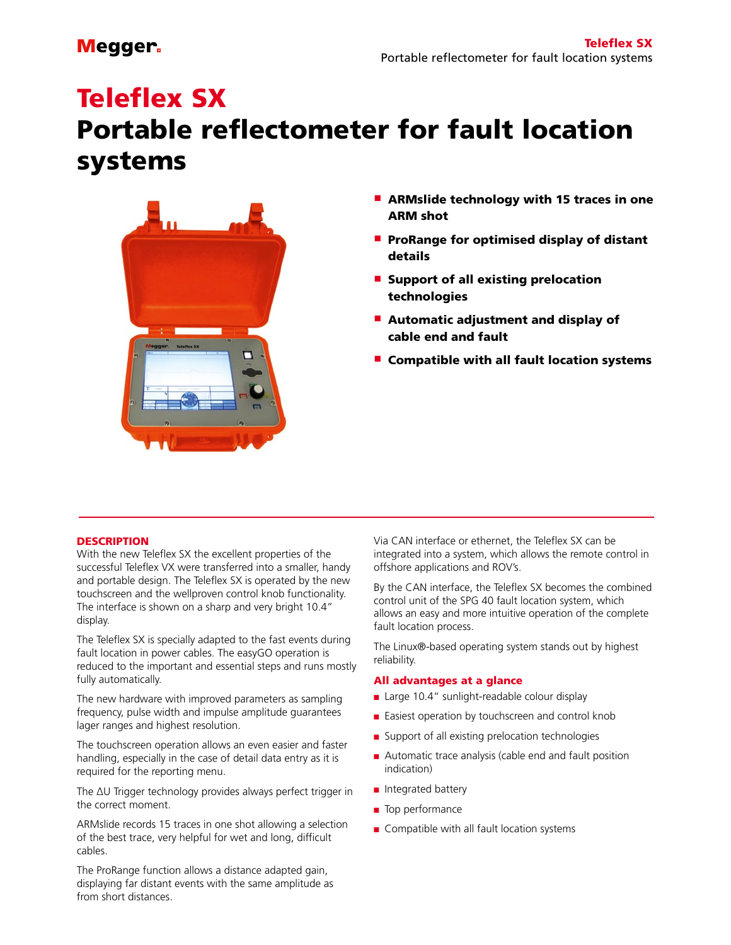# Teleflex SX

## Portable reflectometer for fault location systems



- **E** ARMslide technology with 15 traces in one ARM shot
- $\blacksquare$  ProRange for optimised display of distant details
- **E** Support of all existing prelocation technologies
- $\blacksquare$  Automatic adjustment and display of cable end and fault
- $\blacksquare$  Compatible with all fault location systems

#### **DESCRIPTION**

With the new Teleflex SX the excellent properties of the successful Teleflex VX were transferred into a smaller, handy and portable design. The Teleflex SX is operated by the new touchscreen and the wellproven control knob functionality. The interface is shown on a sharp and very bright 10.4" display.

The Teleflex SX is specially adapted to the fast events during fault location in power cables. The easyGO operation is reduced to the important and essential steps and runs mostly fully automatically.

The new hardware with improved parameters as sampling frequency, pulse width and impulse amplitude guarantees lager ranges and highest resolution.

The touchscreen operation allows an even easier and faster handling, especially in the case of detail data entry as it is required for the reporting menu.

The ΔU Trigger technology provides always perfect trigger in the correct moment.

ARMslide records 15 traces in one shot allowing a selection of the best trace, very helpful for wet and long, difficult cables.

The ProRange function allows a distance adapted gain, displaying far distant events with the same amplitude as from short distances.

Via CAN interface or ethernet, the Teleflex SX can be integrated into a system, which allows the remote control in offshore applications and ROV's.

By the CAN interface, the Teleflex SX becomes the combined control unit of the SPG 40 fault location system, which allows an easy and more intuitive operation of the complete fault location process.

The Linux®-based operating system stands out by highest reliability.

#### All advantages at a glance

- Large 10.4" sunlight-readable colour display
- Easiest operation by touchscreen and control knob
- $\blacksquare$  Support of all existing prelocation technologies
- $\blacksquare$  Automatic trace analysis (cable end and fault position indication)
- $\blacksquare$  Integrated battery
- $\blacksquare$  Top performance
- $\blacksquare$  Compatible with all fault location systems